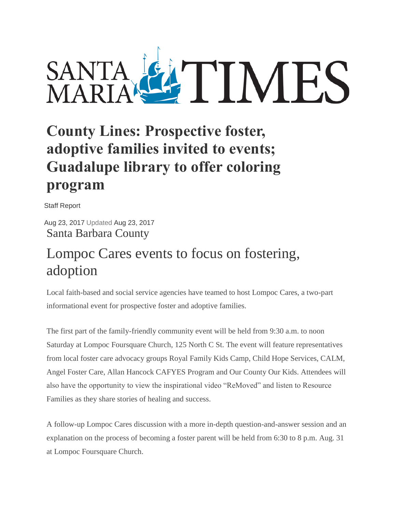

## **County Lines: Prospective foster, adoptive families invited to events; Guadalupe library to offer coloring program**

Staff Report

Aug 23, 2017 Updated Aug 23, 2017 Santa Barbara County

## Lompoc Cares events to focus on fostering, adoption

Local faith-based and social service agencies have teamed to host Lompoc Cares, a two-part informational event for prospective foster and adoptive families.

The first part of the family-friendly community event will be held from 9:30 a.m. to noon Saturday at Lompoc Foursquare Church, 125 North C St. The event will feature representatives from local foster care advocacy groups Royal Family Kids Camp, Child Hope Services, CALM, Angel Foster Care, Allan Hancock CAFYES Program and Our County Our Kids. Attendees will also have the opportunity to view the inspirational video "ReMoved" and listen to Resource Families as they share stories of healing and success.

A follow-up Lompoc Cares discussion with a more in-depth question-and-answer session and an explanation on the process of becoming a foster parent will be held from 6:30 to 8 p.m. Aug. 31 at Lompoc Foursquare Church.